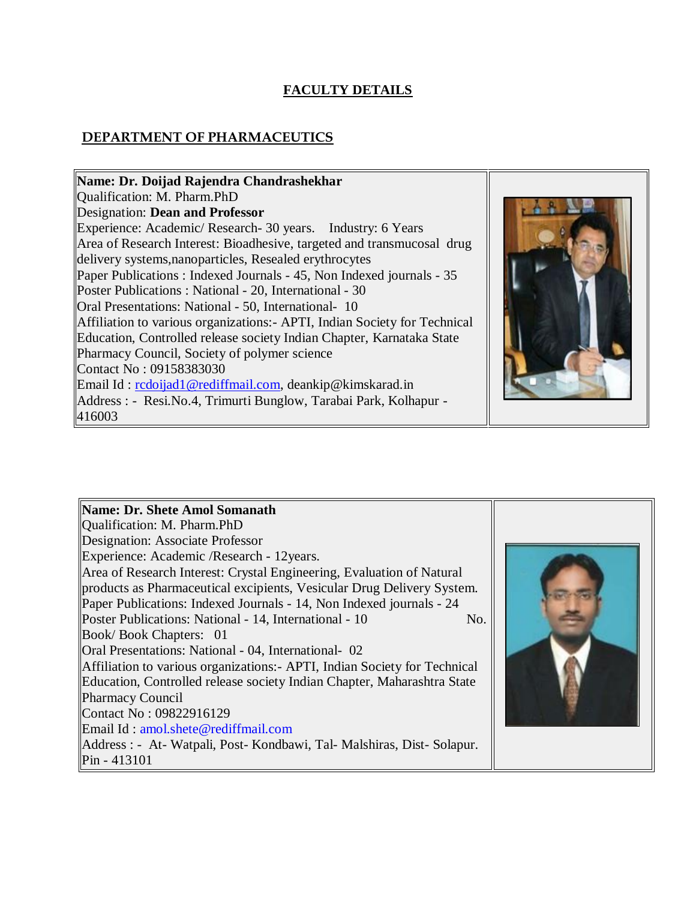# **FACULTY DETAILS**

# **DEPARTMENT OF PHARMACEUTICS**

| Name: Dr. Doijad Rajendra Chandrashekhar                                   |  |
|----------------------------------------------------------------------------|--|
| Qualification: M. Pharm.PhD                                                |  |
| Designation: Dean and Professor                                            |  |
| Experience: Academic/Research-30 years. Industry: 6 Years                  |  |
| Area of Research Interest: Bioadhesive, targeted and transmucosal drug     |  |
| delivery systems, nanoparticles, Resealed erythrocytes                     |  |
| Paper Publications : Indexed Journals - 45, Non Indexed journals - 35      |  |
| Poster Publications: National - 20, International - 30                     |  |
| Oral Presentations: National - 50, International- 10                       |  |
| Affiliation to various organizations: - APTI, Indian Society for Technical |  |
| Education, Controlled release society Indian Chapter, Karnataka State      |  |
| Pharmacy Council, Society of polymer science                               |  |
| Contact No: 09158383030                                                    |  |
| Email Id: redoijad1@rediffmail.com, deankip@kimskarad.in                   |  |
| Address : - Resi. No. 4, Trimurti Bunglow, Tarabai Park, Kolhapur -        |  |
| 416003                                                                     |  |

| Name: Dr. Shete Amol Somanath                                              |  |
|----------------------------------------------------------------------------|--|
| Qualification: M. Pharm.PhD                                                |  |
| Designation: Associate Professor                                           |  |
| Experience: Academic /Research - 12 years.                                 |  |
| Area of Research Interest: Crystal Engineering, Evaluation of Natural      |  |
| products as Pharmaceutical excipients, Vesicular Drug Delivery System.     |  |
| Paper Publications: Indexed Journals - 14, Non Indexed journals - 24       |  |
| Poster Publications: National - 14, International - 10<br>No.              |  |
| Book/Book Chapters: 01                                                     |  |
| Oral Presentations: National - 04, International - 02                      |  |
| Affiliation to various organizations: - APTI, Indian Society for Technical |  |
| Education, Controlled release society Indian Chapter, Maharashtra State    |  |
| <b>Pharmacy Council</b>                                                    |  |
| Contact No: 09822916129                                                    |  |
| Email Id: amol.shete@rediffmail.com                                        |  |
| Address : - At-Watpali, Post-Kondbawi, Tal-Malshiras, Dist-Solapur.        |  |
| $Pin - 413101$                                                             |  |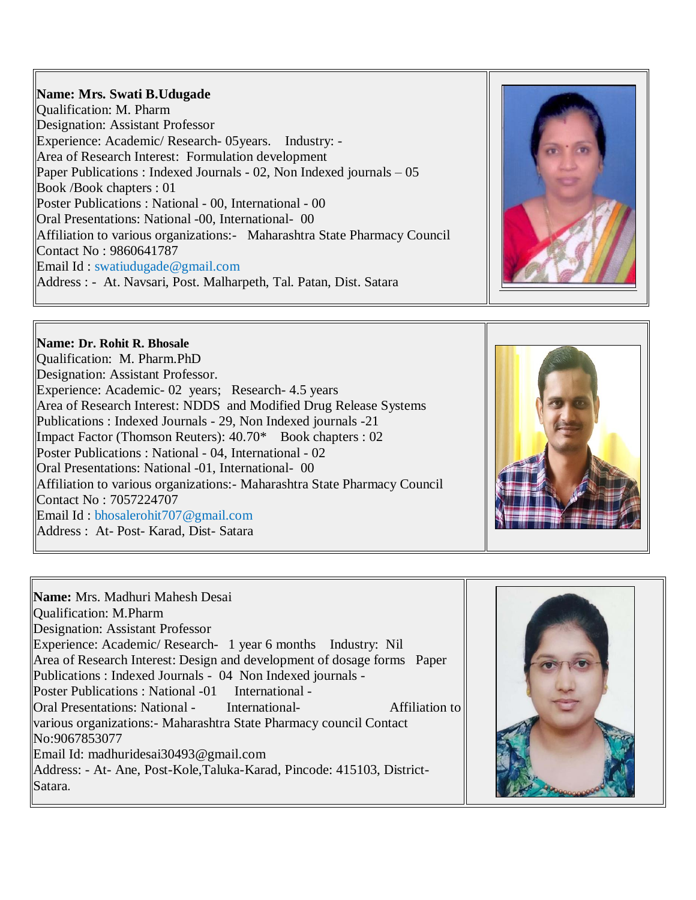#### **Name: Mrs. Swati B.Udugade**

Qualification: M. Pharm Designation: Assistant Professor Experience: Academic/ Research- 05years. Industry: - Area of Research Interest: Formulation development Paper Publications : Indexed Journals - 02, Non Indexed journals – 05 Book /Book chapters : 01 Poster Publications : National - 00, International - 00 Oral Presentations: National -00, International- 00 Affiliation to various organizations:- Maharashtra State Pharmacy Council Contact No : 9860641787 Email Id : swatiudugade@gmail.com Address : - At. Navsari, Post. Malharpeth, Tal. Patan, Dist. Satara



#### **Name: Dr. Rohit R. Bhosale**

Qualification: M. Pharm.PhD Designation: Assistant Professor. Experience: Academic- 02 years; Research- 4.5 years Area of Research Interest: NDDS and Modified Drug Release Systems Publications : Indexed Journals - 29, Non Indexed journals -21 Impact Factor (Thomson Reuters): 40.70\* Book chapters : 02 Poster Publications : National - 04, International - 02 Oral Presentations: National -01, International- 00 Affiliation to various organizations:- Maharashtra State Pharmacy Council Contact No : 7057224707 Email Id : bhosalerohit707@gmail.com Address : At- Post- Karad, Dist- Satara



**Name:** Mrs. Madhuri Mahesh Desai Qualification: M.Pharm Designation: Assistant Professor Experience: Academic/ Research- 1 year 6 months Industry: Nil Area of Research Interest: Design and development of dosage forms Paper Publications : Indexed Journals - 04 Non Indexed journals - Poster Publications : National -01 International -Oral Presentations: National - International- Affiliation to various organizations:- Maharashtra State Pharmacy council Contact No:9067853077 Email Id: madhuridesai30493@gmail.com Address: - At- Ane, Post-Kole,Taluka-Karad, Pincode: 415103, District-Satara.

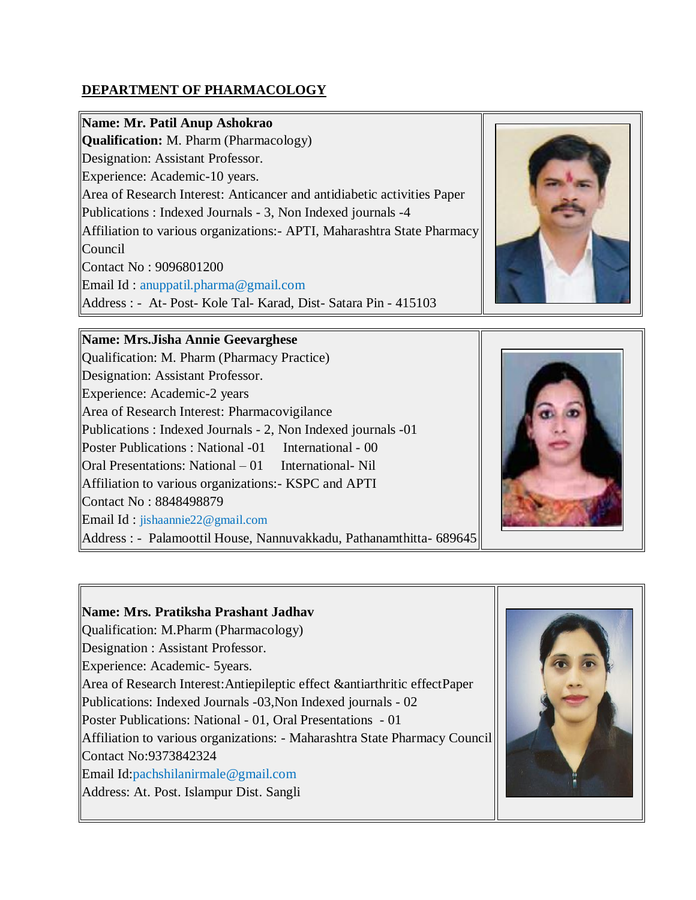# **DEPARTMENT OF PHARMACOLOGY**

### **Name: Mr. Patil Anup Ashokrao**

**Qualification:** M. Pharm (Pharmacology) Designation: Assistant Professor. Experience: Academic-10 years. Area of Research Interest: Anticancer and antidiabetic activities Paper Publications : Indexed Journals - 3, Non Indexed journals -4 Affiliation to various organizations:- APTI, Maharashtra State Pharmacy Council Contact No : 9096801200 Email Id : anuppatil.pharma@gmail.com Address : - At- Post- Kole Tal- Karad, Dist- Satara Pin - 415103



#### **Name: Mrs.Jisha Annie Geevarghese**

Qualification: M. Pharm (Pharmacy Practice) Designation: Assistant Professor. Experience: Academic-2 years Area of Research Interest: Pharmacovigilance Publications : Indexed Journals - 2, Non Indexed journals -01 Poster Publications : National -01 International - 00 Oral Presentations: National – 01 International- Nil Affiliation to various organizations:- KSPC and APTI Contact No : 8848498879 Email Id : jishaannie22@gmail.com Address : - Palamoottil House, Nannuvakkadu, Pathanamthitta- 689645



# **Name: Mrs. Pratiksha Prashant Jadhav**

Qualification: M.Pharm (Pharmacology)

Designation : Assistant Professor.

Experience: Academic- 5years.

Area of Research Interest:Antiepileptic effect &antiarthritic effectPaper

Publications: Indexed Journals -03,Non Indexed journals - 02

Poster Publications: National - 01, Oral Presentations - 01

Affiliation to various organizations: - Maharashtra State Pharmacy Council Contact No:9373842324

Email Id:pachshilanirmale@gmail.com

Address: At. Post. Islampur Dist. Sangli

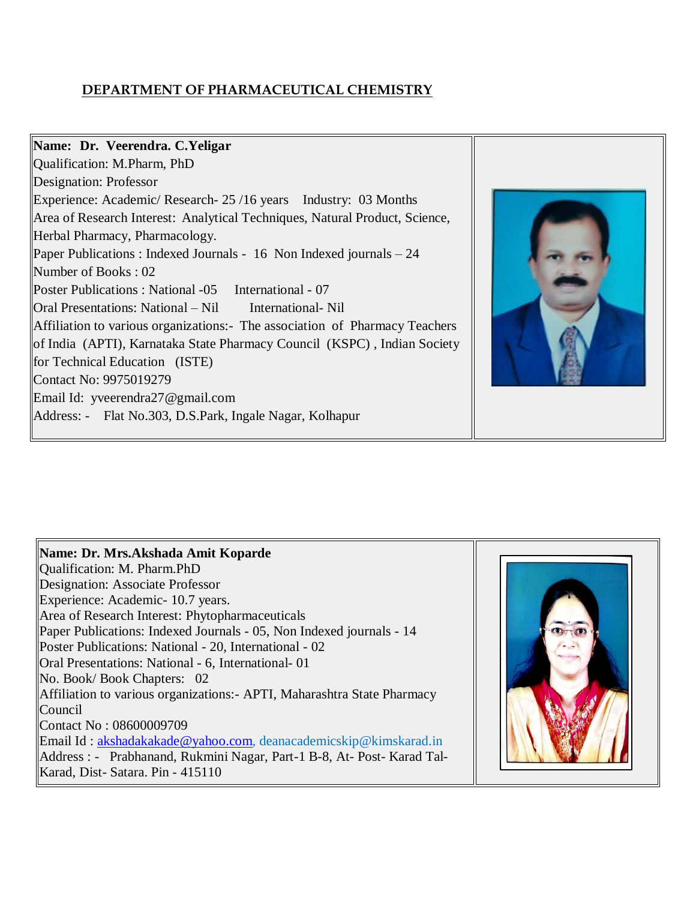# **DEPARTMENT OF PHARMACEUTICAL CHEMISTRY**



| Name: Dr. Mrs.Akshada Amit Koparde                                                     |  |
|----------------------------------------------------------------------------------------|--|
| Qualification: M. Pharm.PhD                                                            |  |
| Designation: Associate Professor                                                       |  |
| Experience: Academic- 10.7 years.                                                      |  |
| Area of Research Interest: Phytopharmaceuticals                                        |  |
| Paper Publications: Indexed Journals - 05, Non Indexed journals - 14                   |  |
| Poster Publications: National - 20, International - 02                                 |  |
| <b>Oral Presentations: National - 6, International-01</b>                              |  |
| $\vert$ No. Book/Book Chapters: 02                                                     |  |
| Affiliation to various organizations: - APTI, Maharashtra State Pharmacy               |  |
| Council                                                                                |  |
| Contact No: 08600009709                                                                |  |
| <b>Email Id:</b> $\underline{akshadakakade@yahoo.com}$ , deanacademicskip@kimskarad.in |  |
| Address : - Prabhanand, Rukmini Nagar, Part-1 B-8, At-Post-Karad Tal-                  |  |
| Karad, Dist-Satara. Pin - 415110                                                       |  |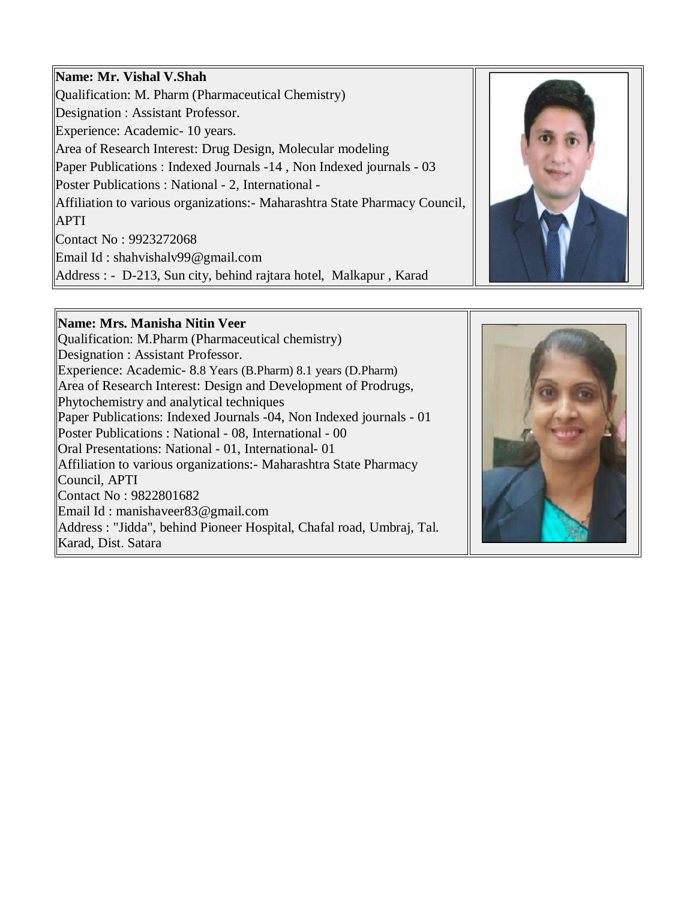### **Name: Mr. Vishal V.Shah**

Qualification: M. Pharm (Pharmaceutical Chemistry) Designation : Assistant Professor. Experience: Academic- 10 years. Area of Research Interest: Drug Design, Molecular modeling Paper Publications : Indexed Journals -14 , Non Indexed journals - 03 Poster Publications : National - 2, International - Affiliation to various organizations:- Maharashtra State Pharmacy Council, APTI Contact No : 9923272068 Email Id : shahvishalv99@gmail.com Address : - D-213, Sun city, behind rajtara hotel, Malkapur , Karad



#### **Name: Mrs. Manisha Nitin Veer**

Qualification: M.Pharm (Pharmaceutical chemistry) Designation : Assistant Professor. Experience: Academic- 8.8 Years (B.Pharm) 8.1 years (D.Pharm) Area of Research Interest: Design and Development of Prodrugs, Phytochemistry and analytical techniques Paper Publications: Indexed Journals -04, Non Indexed journals - 01 Poster Publications : National - 08, International - 00 Oral Presentations: National - 01, International- 01 Affiliation to various organizations:- Maharashtra State Pharmacy Council, APTI Contact No : 9822801682 Email Id : manishaveer83@gmail.com Address : "Jidda", behind Pioneer Hospital, Chafal road, Umbraj, Tal. Karad, Dist. Satara

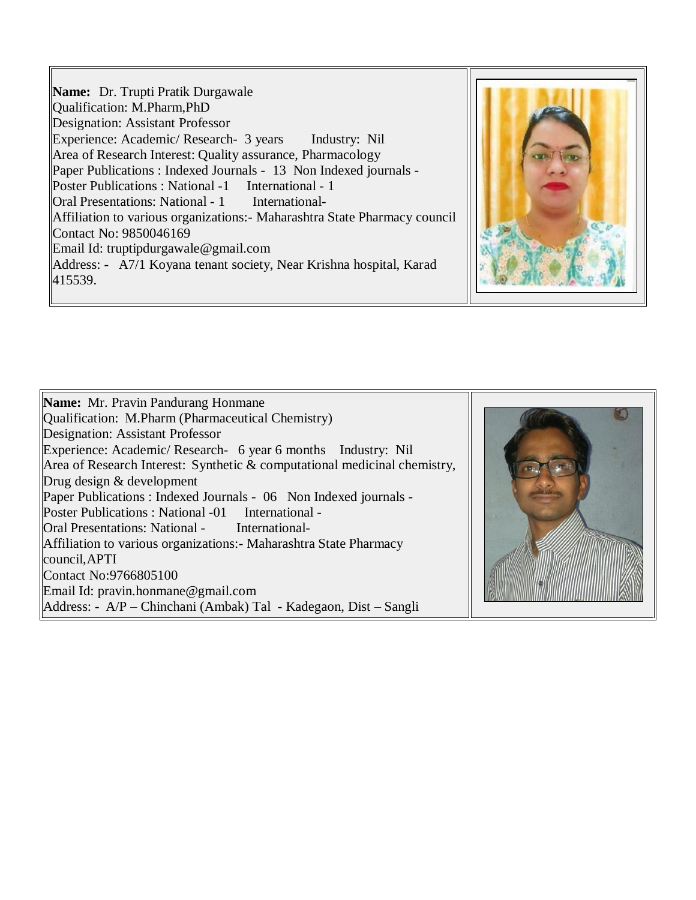**Name:** Dr. Trupti Pratik Durgawale Qualification: M.Pharm,PhD Designation: Assistant Professor Experience: Academic/ Research- 3 years Industry: Nil Area of Research Interest: Quality assurance, Pharmacology Paper Publications : Indexed Journals - 13 Non Indexed journals - Poster Publications : National -1 International - 1 Oral Presentations: National - 1 International-Affiliation to various organizations:- Maharashtra State Pharmacy council Contact No: 9850046169 Email Id: truptipdurgawale@gmail.com Address: - A7/1 Koyana tenant society, Near Krishna hospital, Karad 415539.



**Name:** Mr. Pravin Pandurang Honmane Qualification: M.Pharm (Pharmaceutical Chemistry) Designation: Assistant Professor Experience: Academic/ Research- 6 year 6 months Industry: Nil Area of Research Interest: Synthetic & computational medicinal chemistry, Drug design & development Paper Publications : Indexed Journals - 06 Non Indexed journals - Poster Publications : National -01 International -Oral Presentations: National - International-Affiliation to various organizations:- Maharashtra State Pharmacy council,APTI Contact No:9766805100 Email Id: pravin.honmane@gmail.com Address: - A/P – Chinchani (Ambak) Tal - Kadegaon, Dist – Sangli